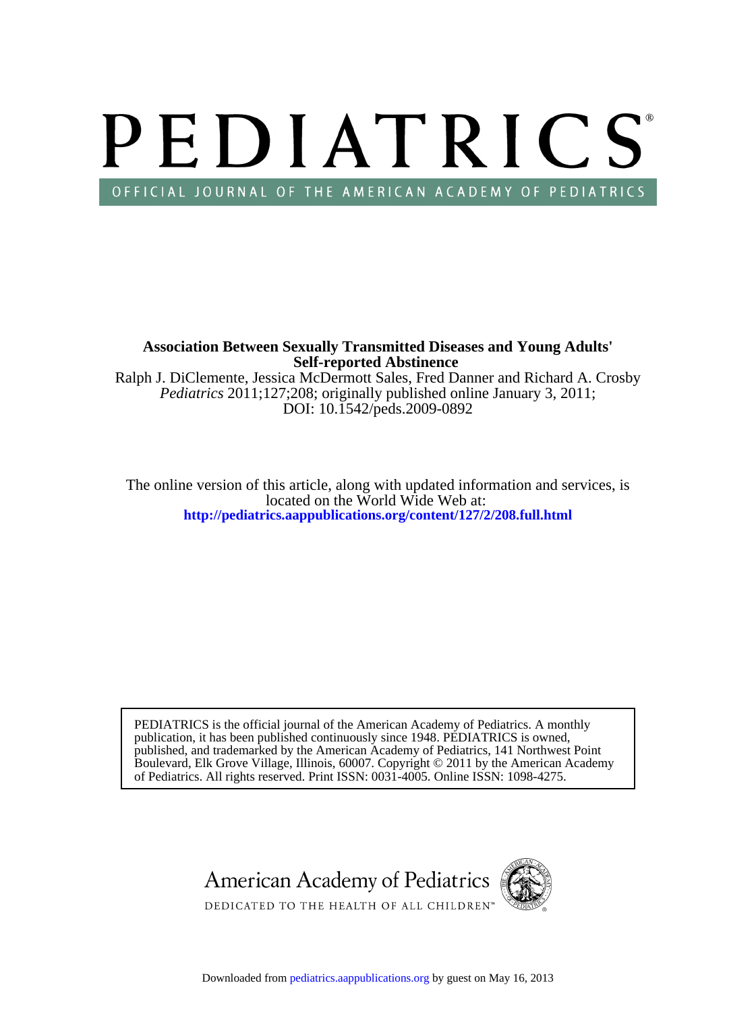# PEDIATRICS OFFICIAL JOURNAL OF THE AMERICAN ACADEMY OF PEDIATRICS

**Self-reported Abstinence Association Between Sexually Transmitted Diseases and Young Adults'**

DOI: 10.1542/peds.2009-0892 *Pediatrics* 2011;127;208; originally published online January 3, 2011; Ralph J. DiClemente, Jessica McDermott Sales, Fred Danner and Richard A. Crosby

**<http://pediatrics.aappublications.org/content/127/2/208.full.html>** located on the World Wide Web at: The online version of this article, along with updated information and services, is

of Pediatrics. All rights reserved. Print ISSN: 0031-4005. Online ISSN: 1098-4275. Boulevard, Elk Grove Village, Illinois, 60007. Copyright © 2011 by the American Academy published, and trademarked by the American Academy of Pediatrics, 141 Northwest Point publication, it has been published continuously since 1948. PEDIATRICS is owned, PEDIATRICS is the official journal of the American Academy of Pediatrics. A monthly



Downloaded from [pediatrics.aappublications.org](http://pediatrics.aappublications.org/) by guest on May 16, 2013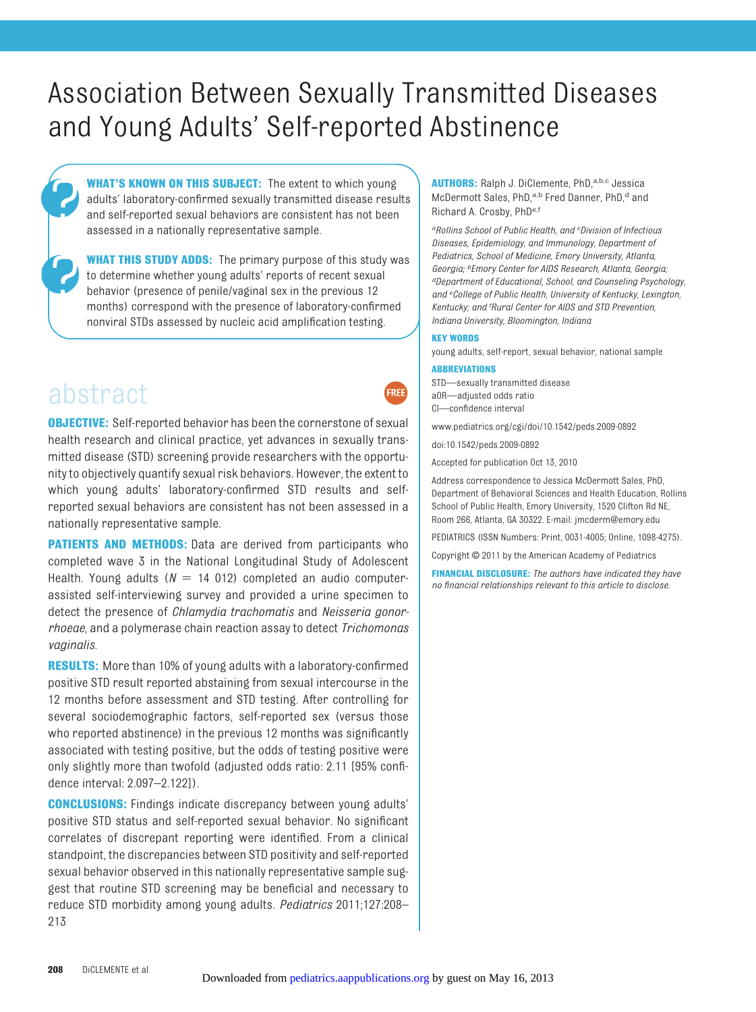# Association Between Sexually Transmitted Diseases and Young Adults' Self-reported Abstinence

**WHAT'S KNOWN ON THIS SUBJECT:** The extent to which young adults' laboratory-confirmed sexually transmitted disease results and self-reported sexual behaviors are consistent has not been assessed in a nationally representative sample.

**WHAT THIS STUDY ADDS:** The primary purpose of this study was to determine whether young adults' reports of recent sexual behavior (presence of penile/vaginal sex in the previous 12 months) correspond with the presence of laboratory-confirmed nonviral STDs assessed by nucleic acid amplification testing.

# abstract

**OBJECTIVE:** Self-reported behavior has been the cornerstone of sexual health research and clinical practice, yet advances in sexually transmitted disease (STD) screening provide researchers with the opportunity to objectively quantify sexual risk behaviors. However, the extent to which young adults' laboratory-confirmed STD results and selfreported sexual behaviors are consistent has not been assessed in a nationally representative sample.

**PATIENTS AND METHODS:** Data are derived from participants who completed wave 3 in the National Longitudinal Study of Adolescent Health. Young adults  $(N = 14 012)$  completed an audio computerassisted self-interviewing survey and provided a urine specimen to detect the presence of *Chlamydia trachomatis* and *Neisseria gonorrhoeae*, and a polymerase chain reaction assay to detect *Trichomonas vaginalis*.

**RESULTS:** More than 10% of young adults with a laboratory-confirmed positive STD result reported abstaining from sexual intercourse in the 12 months before assessment and STD testing. After controlling for several sociodemographic factors, self-reported sex (versus those who reported abstinence) in the previous 12 months was significantly associated with testing positive, but the odds of testing positive were only slightly more than twofold (adjusted odds ratio: 2.11 [95% confidence interval: 2.097–2.122]).

**CONCLUSIONS:** Findings indicate discrepancy between young adults' positive STD status and self-reported sexual behavior. No significant correlates of discrepant reporting were identified. From a clinical standpoint, the discrepancies between STD positivity and self-reported sexual behavior observed in this nationally representative sample suggest that routine STD screening may be beneficial and necessary to reduce STD morbidity among young adults. *Pediatrics* 2011;127:208– 213

**AUTHORS:** Ralph J. DiClemente, PhD,<sup>a,b,c</sup> Jessica McDermott Sales, PhD,<sup>a,b</sup> Fred Danner, PhD,<sup>d</sup> and Richard A. Crosby, PhDe,f

*aRollins School of Public Health, and <sup>c</sup> Division of Infectious Diseases, Epidemiology, and Immunology, Department of Pediatrics, School of Medicine, Emory University, Atlanta, Georgia; bEmory Center for AIDS Research, Atlanta, Georgia; dDepartment of Educational, School, and Counseling Psychology, and <sup>e</sup> College of Public Health, University of Kentucky, Lexington, Kentucky; and <sup>f</sup> Rural Center for AIDS and STD Prevention, Indiana University, Bloomington, Indiana*

#### **KEY WORDS**

**REE** 

young adults, self-report, sexual behavior, national sample

**ABBREVIATIONS** STD—sexually transmitted disease aOR—adjusted odds ratio CI—confidence interval

www.pediatrics.org/cgi/doi/10.1542/peds.2009-0892

doi:10.1542/peds.2009-0892

Accepted for publication Oct 13, 2010

Address correspondence to Jessica McDermott Sales, PhD, Department of Behavioral Sciences and Health Education, Rollins School of Public Health, Emory University, 1520 Clifton Rd NE, Room 266, Atlanta, GA 30322. E-mail: jmcderm@emory.edu

PEDIATRICS (ISSN Numbers: Print, 0031-4005; Online, 1098-4275).

Copyright © 2011 by the American Academy of Pediatrics

**FINANCIAL DISCLOSURE:** *The authors have indicated they have no financial relationships relevant to this article to disclose.*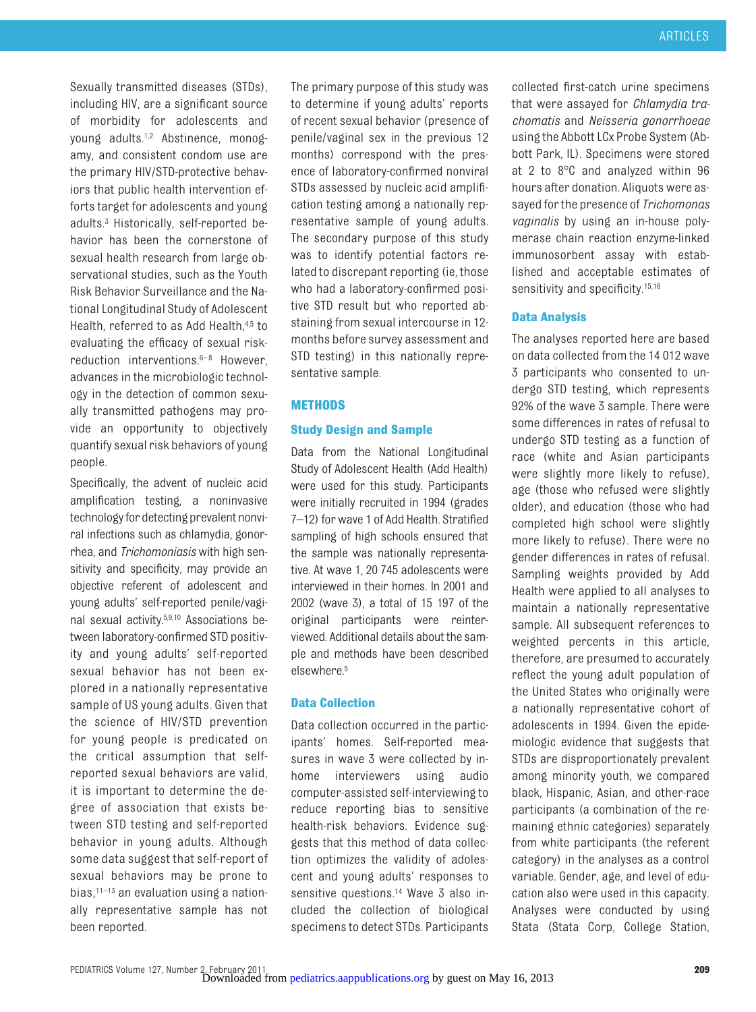Sexually transmitted diseases (STDs), including HIV, are a significant source of morbidity for adolescents and young adults[.1,2](#page-5-0) Abstinence, monogamy, and consistent condom use are the primary HIV/STD-protective behaviors that public health intervention efforts target for adolescents and young adults[.3](#page-5-0) Historically, self-reported behavior has been the cornerstone of sexual health research from large observational studies, such as the Youth Risk Behavior Surveillance and the National Longitudinal Study of Adolescent Health, referred to as Add Health[,4,5](#page-5-0) to evaluating the efficacy of sexual riskreduction interventions. $6-8$  However, advances in the microbiologic technology in the detection of common sexually transmitted pathogens may provide an opportunity to objectively quantify sexual risk behaviors of young people.

Specifically, the advent of nucleic acid amplification testing, a noninvasive technology for detecting prevalent nonviral infections such as chlamydia, gonorrhea, and *Trichomoniasis* with high sensitivity and specificity, may provide an objective referent of adolescent and young adults' self-reported penile/vaginal sexual activity[.5,9,10](#page-5-0) Associations between laboratory-confirmed STD positivity and young adults' self-reported sexual behavior has not been explored in a nationally representative sample of US young adults. Given that the science of HIV/STD prevention for young people is predicated on the critical assumption that selfreported sexual behaviors are valid, it is important to determine the degree of association that exists between STD testing and self-reported behavior in young adults. Although some data suggest that self-report of sexual behaviors may be prone to bias, $11-13$  an evaluation using a nationally representative sample has not been reported.

The primary purpose of this study was to determine if young adults' reports of recent sexual behavior (presence of penile/vaginal sex in the previous 12 months) correspond with the presence of laboratory-confirmed nonviral STDs assessed by nucleic acid amplification testing among a nationally representative sample of young adults. The secondary purpose of this study was to identify potential factors related to discrepant reporting (ie, those who had a laboratory-confirmed positive STD result but who reported abstaining from sexual intercourse in 12 months before survey assessment and STD testing) in this nationally representative sample.

### **METHODS**

### **Study Design and Sample**

Data from the National Longitudinal Study of Adolescent Health (Add Health) were used for this study. Participants were initially recruited in 1994 (grades 7–12) for wave 1 of Add Health. Stratified sampling of high schools ensured that the sample was nationally representative. At wave 1, 20 745 adolescents were interviewed in their homes. In 2001 and 2002 (wave 3), a total of 15 197 of the original participants were reinterviewed. Additional details about the sample and methods have been described elsewhere[.5](#page-5-0)

# **Data Collection**

Data collection occurred in the participants' homes. Self-reported measures in wave 3 were collected by inhome interviewers using audio computer-assisted self-interviewing to reduce reporting bias to sensitive health-risk behaviors. Evidence suggests that this method of data collection optimizes the validity of adolescent and young adults' responses to sensitive questions.<sup>14</sup> Wave 3 also included the collection of biological specimens to detect STDs. Participants

collected first-catch urine specimens that were assayed for *Chlamydia trachomatis* and *Neisseria gonorrhoeae* using the Abbott LCx Probe System (Abbott Park, IL). Specimens were stored at 2 to 8°C and analyzed within 96 hours after donation. Aliquots were assayed for the presence of *Trichomonas vaginalis* by using an in-house polymerase chain reaction enzyme-linked immunosorbent assay with established and acceptable estimates of sensitivity and specificity.<sup>15,16</sup>

#### **Data Analysis**

The analyses reported here are based on data collected from the 14 012 wave 3 participants who consented to undergo STD testing, which represents 92% of the wave 3 sample. There were some differences in rates of refusal to undergo STD testing as a function of race (white and Asian participants were slightly more likely to refuse), age (those who refused were slightly older), and education (those who had completed high school were slightly more likely to refuse). There were no gender differences in rates of refusal. Sampling weights provided by Add Health were applied to all analyses to maintain a nationally representative sample. All subsequent references to weighted percents in this article, therefore, are presumed to accurately reflect the young adult population of the United States who originally were a nationally representative cohort of adolescents in 1994. Given the epidemiologic evidence that suggests that STDs are disproportionately prevalent among minority youth, we compared black, Hispanic, Asian, and other-race participants (a combination of the remaining ethnic categories) separately from white participants (the referent category) in the analyses as a control variable. Gender, age, and level of education also were used in this capacity. Analyses were conducted by using Stata (Stata Corp, College Station,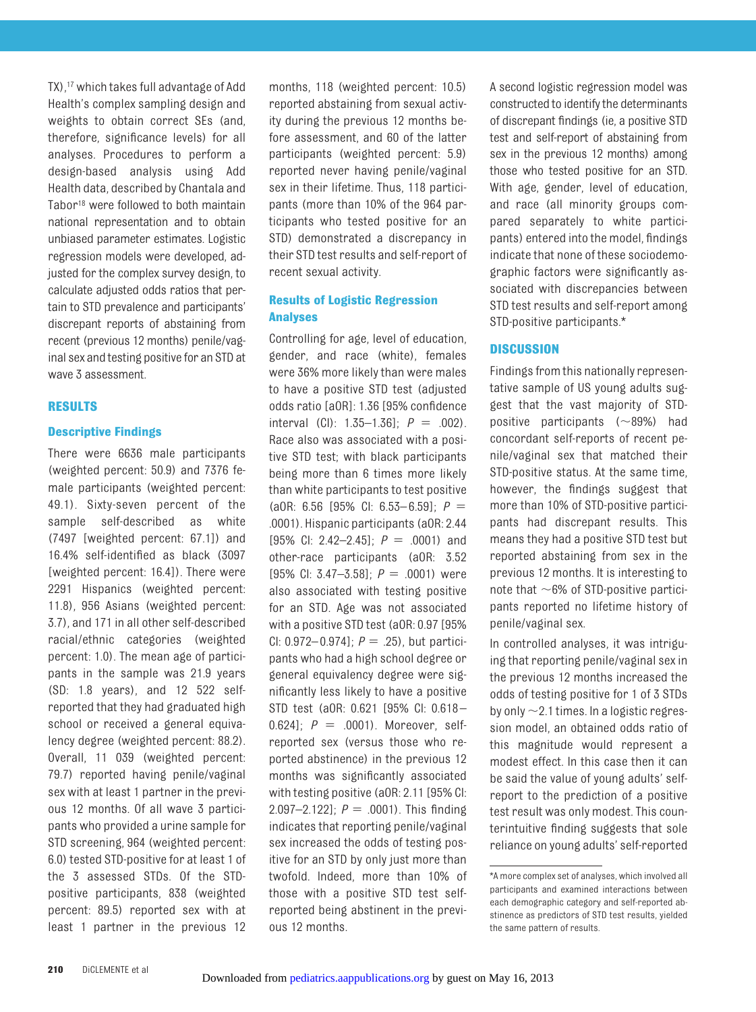TX)[,17](#page-6-0) which takes full advantage of Add Health's complex sampling design and weights to obtain correct SEs (and, therefore, significance levels) for all analyses. Procedures to perform a design-based analysis using Add Health data, described by Chantala and Tabor<sup>18</sup> were followed to both maintain national representation and to obtain unbiased parameter estimates. Logistic regression models were developed, adjusted for the complex survey design, to calculate adjusted odds ratios that pertain to STD prevalence and participants' discrepant reports of abstaining from recent (previous 12 months) penile/vaginal sex and testing positive for an STD at wave 3 assessment.

# **RESULTS**

# **Descriptive Findings**

There were 6636 male participants (weighted percent: 50.9) and 7376 female participants (weighted percent: 49.1). Sixty-seven percent of the sample self-described as white (7497 [weighted percent: 67.1]) and 16.4% self-identified as black (3097 [weighted percent: 16.4]). There were 2291 Hispanics (weighted percent: 11.8), 956 Asians (weighted percent: 3.7), and 171 in all other self-described racial/ethnic categories (weighted percent: 1.0). The mean age of participants in the sample was 21.9 years (SD: 1.8 years), and 12 522 selfreported that they had graduated high school or received a general equivalency degree (weighted percent: 88.2). Overall, 11 039 (weighted percent: 79.7) reported having penile/vaginal sex with at least 1 partner in the previous 12 months. Of all wave 3 participants who provided a urine sample for STD screening, 964 (weighted percent: 6.0) tested STD-positive for at least 1 of the 3 assessed STDs. Of the STDpositive participants, 838 (weighted percent: 89.5) reported sex with at least 1 partner in the previous 12

months, 118 (weighted percent: 10.5) reported abstaining from sexual activity during the previous 12 months before assessment, and 60 of the latter participants (weighted percent: 5.9) reported never having penile/vaginal sex in their lifetime. Thus, 118 participants (more than 10% of the 964 participants who tested positive for an STD) demonstrated a discrepancy in their STD test results and self-report of recent sexual activity.

# **Results of Logistic Regression Analyses**

Controlling for age, level of education, gender, and race (white), females were 36% more likely than were males to have a positive STD test (adjusted odds ratio [aOR]: 1.36 [95% confidence interval (CI):  $1.35-1.36$ ];  $P = .002$ ). Race also was associated with a positive STD test; with black participants being more than 6 times more likely than white participants to test positive (aOR: 6.56 [95% CI: 6.53– 6.59]; *P* .0001). Hispanic participants (aOR: 2.44 [95% Cl: 2.42-2.45];  $P = .0001$  and other-race participants (aOR: 3.52  $[95\%$  Cl: 3.47-3.58];  $P = .0001$ ) were also associated with testing positive for an STD. Age was not associated with a positive STD test (aOR: 0.97 [95% CI:  $0.972 - 0.974$ ];  $P = .25$ ), but participants who had a high school degree or general equivalency degree were significantly less likely to have a positive STD test (aOR: 0.621 [95% CI: 0.618 – 0.624];  $P = 0.001$ ). Moreover, selfreported sex (versus those who reported abstinence) in the previous 12 months was significantly associated with testing positive (aOR: 2.11 [95% CI: 2.097–2.122];  $P = .0001$ ). This finding indicates that reporting penile/vaginal sex increased the odds of testing positive for an STD by only just more than twofold. Indeed, more than 10% of those with a positive STD test selfreported being abstinent in the previous 12 months.

A second logistic regression model was constructed to identify the determinants of discrepant findings (ie, a positive STD test and self-report of abstaining from sex in the previous 12 months) among those who tested positive for an STD. With age, gender, level of education, and race (all minority groups compared separately to white participants) entered into the model, findings indicate that none of these sociodemographic factors were significantly associated with discrepancies between STD test results and self-report among STD-positive participants.\*

# **DISCUSSION**

Findings from this nationally representative sample of US young adults suggest that the vast majority of STDpositive participants  $(\sim]89\%)$  had concordant self-reports of recent penile/vaginal sex that matched their STD-positive status. At the same time, however, the findings suggest that more than 10% of STD-positive participants had discrepant results. This means they had a positive STD test but reported abstaining from sex in the previous 12 months. It is interesting to note that  $\sim$ 6% of STD-positive participants reported no lifetime history of penile/vaginal sex.

In controlled analyses, it was intriguing that reporting penile/vaginal sex in the previous 12 months increased the odds of testing positive for 1 of 3 STDs by only  $\sim$  2.1 times. In a logistic regression model, an obtained odds ratio of this magnitude would represent a modest effect. In this case then it can be said the value of young adults' selfreport to the prediction of a positive test result was only modest. This counterintuitive finding suggests that sole reliance on young adults' self-reported

<sup>\*</sup>A more complex set of analyses, which involved all participants and examined interactions between each demographic category and self-reported abstinence as predictors of STD test results, yielded the same pattern of results.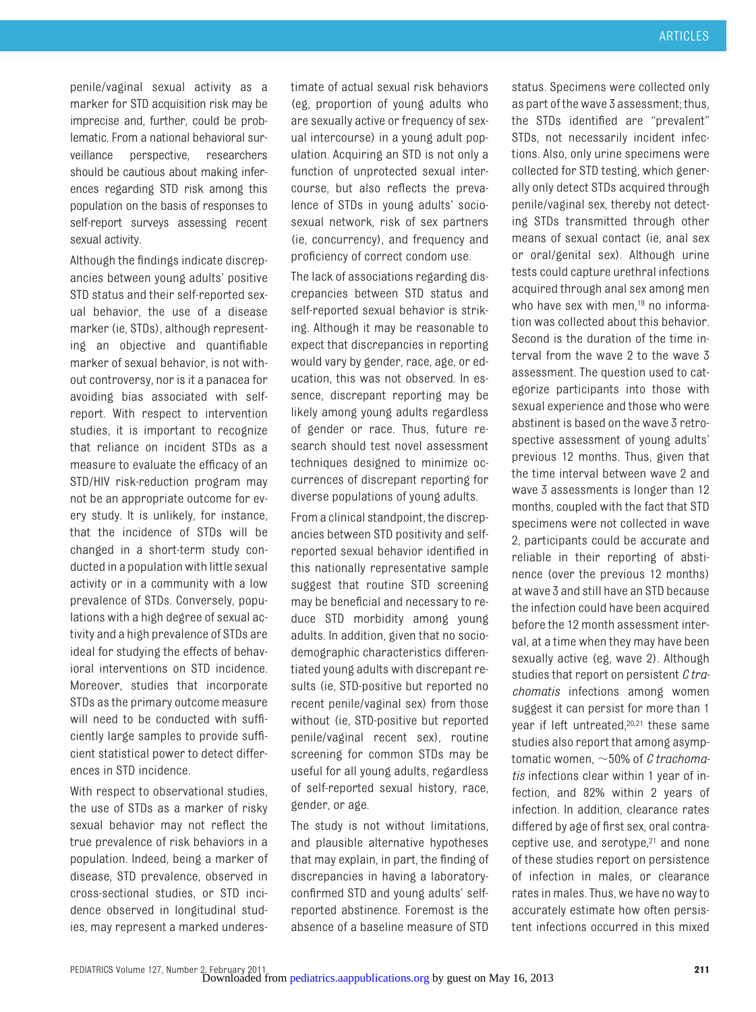penile/vaginal sexual activity as a marker for STD acquisition risk may be imprecise and, further, could be problematic. From a national behavioral surveillance perspective, researchers should be cautious about making inferences regarding STD risk among this population on the basis of responses to self-report surveys assessing recent sexual activity.

Although the findings indicate discrepancies between young adults' positive STD status and their self-reported sexual behavior, the use of a disease marker (ie, STDs), although representing an objective and quantifiable marker of sexual behavior, is not without controversy, nor is it a panacea for avoiding bias associated with selfreport. With respect to intervention studies, it is important to recognize that reliance on incident STDs as a measure to evaluate the efficacy of an STD/HIV risk-reduction program may not be an appropriate outcome for every study. It is unlikely, for instance, that the incidence of STDs will be changed in a short-term study conducted in a population with little sexual activity or in a community with a low prevalence of STDs. Conversely, populations with a high degree of sexual activity and a high prevalence of STDs are ideal for studying the effects of behavioral interventions on STD incidence. Moreover, studies that incorporate STDs as the primary outcome measure will need to be conducted with sufficiently large samples to provide sufficient statistical power to detect differences in STD incidence.

With respect to observational studies, the use of STDs as a marker of risky sexual behavior may not reflect the true prevalence of risk behaviors in a population. Indeed, being a marker of disease, STD prevalence, observed in cross-sectional studies, or STD incidence observed in longitudinal studies, may represent a marked underestimate of actual sexual risk behaviors (eg, proportion of young adults who are sexually active or frequency of sexual intercourse) in a young adult population. Acquiring an STD is not only a function of unprotected sexual intercourse, but also reflects the prevalence of STDs in young adults' sociosexual network, risk of sex partners (ie, concurrency), and frequency and proficiency of correct condom use.

The lack of associations regarding discrepancies between STD status and self-reported sexual behavior is striking. Although it may be reasonable to expect that discrepancies in reporting would vary by gender, race, age, or education, this was not observed. In essence, discrepant reporting may be likely among young adults regardless of gender or race. Thus, future research should test novel assessment techniques designed to minimize occurrences of discrepant reporting for diverse populations of young adults.

From a clinical standpoint, the discrepancies between STD positivity and selfreported sexual behavior identified in this nationally representative sample suggest that routine STD screening may be beneficial and necessary to reduce STD morbidity among young adults. In addition, given that no sociodemographic characteristics differentiated young adults with discrepant results (ie, STD-positive but reported no recent penile/vaginal sex) from those without (ie, STD-positive but reported penile/vaginal recent sex), routine screening for common STDs may be useful for all young adults, regardless of self-reported sexual history, race, gender, or age.

The study is not without limitations, and plausible alternative hypotheses that may explain, in part, the finding of discrepancies in having a laboratoryconfirmed STD and young adults' selfreported abstinence. Foremost is the absence of a baseline measure of STD

status. Specimens were collected only as part of the wave 3 assessment; thus, the STDs identified are "prevalent" STDs, not necessarily incident infections. Also, only urine specimens were collected for STD testing, which generally only detect STDs acquired through penile/vaginal sex, thereby not detecting STDs transmitted through other means of sexual contact (ie, anal sex or oral/genital sex). Although urine tests could capture urethral infections acquired through anal sex among men who have sex with men,<sup>19</sup> no information was collected about this behavior. Second is the duration of the time interval from the wave 2 to the wave 3 assessment. The question used to categorize participants into those with sexual experience and those who were abstinent is based on the wave 3 retrospective assessment of young adults' previous 12 months. Thus, given that the time interval between wave 2 and wave 3 assessments is longer than 12 months, coupled with the fact that STD specimens were not collected in wave 2, participants could be accurate and reliable in their reporting of abstinence (over the previous 12 months) at wave 3 and still have an STD because the infection could have been acquired before the 12 month assessment interval, at a time when they may have been sexually active (eg, wave 2). Although studies that report on persistent *C trachomatis* infections among women suggest it can persist for more than 1 year if left untreated,<sup>20,21</sup> these same studies also report that among asymptomatic women,  $\sim$ 50% of *C trachomatis* infections clear within 1 year of infection, and 82% within 2 years of infection. In addition, clearance rates differed by age of first sex, oral contraceptive use, and serotype,<sup>21</sup> and none of these studies report on persistence of infection in males, or clearance rates in males. Thus, we have no way to accurately estimate how often persistent infections occurred in this mixed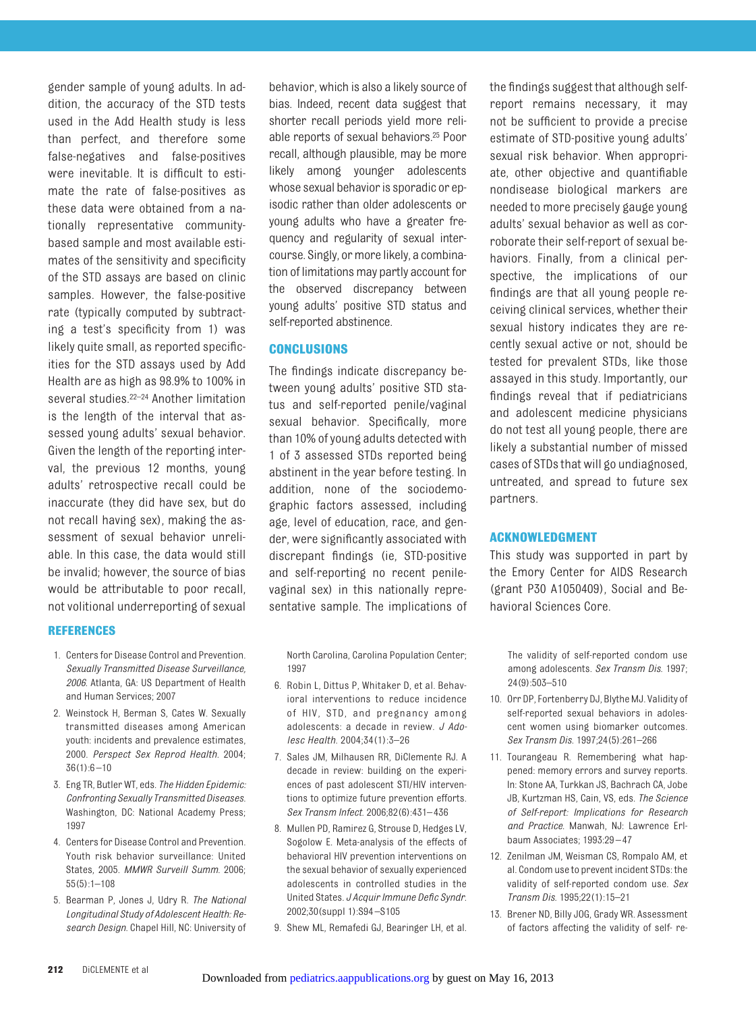<span id="page-5-0"></span>gender sample of young adults. In addition, the accuracy of the STD tests used in the Add Health study is less than perfect, and therefore some false-negatives and false-positives were inevitable. It is difficult to estimate the rate of false-positives as these data were obtained from a nationally representative communitybased sample and most available estimates of the sensitivity and specificity of the STD assays are based on clinic samples. However, the false-positive rate (typically computed by subtracting a test's specificity from 1) was likely quite small, as reported specificities for the STD assays used by Add Health are as high as 98.9% to 100% in several studies[.22–24](#page-6-0) Another limitation is the length of the interval that assessed young adults' sexual behavior. Given the length of the reporting interval, the previous 12 months, young adults' retrospective recall could be inaccurate (they did have sex, but do not recall having sex), making the assessment of sexual behavior unreliable. In this case, the data would still be invalid; however, the source of bias would be attributable to poor recall, not volitional underreporting of sexual

# **REFERENCES**

- 1. Centers for Disease Control and Prevention. *Sexually Transmitted Disease Surveillance, 2006*. Atlanta, GA: US Department of Health and Human Services; 2007
- 2. Weinstock H, Berman S, Cates W. Sexually transmitted diseases among American youth: incidents and prevalence estimates, 2000. *Perspect Sex Reprod Health*. 2004;  $36(1):6 - 10$
- 3. Eng TR, Butler WT, eds. *The Hidden Epidemic: Confronting Sexually Transmitted Diseases*. Washington, DC: National Academy Press; 1997
- 4. Centers for Disease Control and Prevention. Youth risk behavior surveillance: United States, 2005. *MMWR Surveill Summ*. 2006; 55(5):1–108
- 5. Bearman P, Jones J, Udry R. *The National Longitudinal Study of Adolescent Health: Research Design*. Chapel Hill, NC: University of

behavior, which is also a likely source of bias. Indeed, recent data suggest that shorter recall periods yield more reliable reports of sexual behaviors[.25](#page-6-0) Poor recall, although plausible, may be more likely among younger adolescents whose sexual behavior is sporadic or episodic rather than older adolescents or young adults who have a greater frequency and regularity of sexual intercourse. Singly, or more likely, a combination of limitations may partly account for the observed discrepancy between young adults' positive STD status and self-reported abstinence.

# **CONCLUSIONS**

The findings indicate discrepancy between young adults' positive STD status and self-reported penile/vaginal sexual behavior. Specifically, more than 10% of young adults detected with 1 of 3 assessed STDs reported being abstinent in the year before testing. In addition, none of the sociodemographic factors assessed, including age, level of education, race, and gender, were significantly associated with discrepant findings (ie, STD-positive and self-reporting no recent penilevaginal sex) in this nationally representative sample. The implications of

North Carolina, Carolina Population Center; 1997

- 6. Robin L, Dittus P, Whitaker D, et al. Behavioral interventions to reduce incidence of HIV, STD, and pregnancy among adolescents: a decade in review. *J Adolesc Health*. 2004;34(1):3–26
- 7. Sales JM, Milhausen RR, DiClemente RJ. A decade in review: building on the experiences of past adolescent STI/HIV interventions to optimize future prevention efforts. *Sex Transm Infect*. 2006;82(6):431– 436
- 8. Mullen PD, Ramirez G, Strouse D, Hedges LV, Sogolow E. Meta-analysis of the effects of behavioral HIV prevention interventions on the sexual behavior of sexually experienced adolescents in controlled studies in the United States. *J Acquir Immune Defic Syndr*. 2002;30(suppl 1):S94 –S105
- 9. Shew ML, Remafedi GJ, Bearinger LH, et al.

the findings suggest that although selfreport remains necessary, it may not be sufficient to provide a precise estimate of STD-positive young adults' sexual risk behavior. When appropriate, other objective and quantifiable nondisease biological markers are needed to more precisely gauge young adults' sexual behavior as well as corroborate their self-report of sexual behaviors. Finally, from a clinical perspective, the implications of our findings are that all young people receiving clinical services, whether their sexual history indicates they are recently sexual active or not, should be tested for prevalent STDs, like those assayed in this study. Importantly, our findings reveal that if pediatricians and adolescent medicine physicians do not test all young people, there are likely a substantial number of missed cases of STDs that will go undiagnosed, untreated, and spread to future sex partners.

# **ACKNOWLEDGMENT**

This study was supported in part by the Emory Center for AIDS Research (grant P30 A1050409), Social and Behavioral Sciences Core.

The validity of self-reported condom use among adolescents. *Sex Transm Dis*. 1997; 24(9):503–510

- 10. Orr DP, Fortenberry DJ, Blythe MJ. Validity of self-reported sexual behaviors in adolescent women using biomarker outcomes. *Sex Transm Dis*. 1997;24(5):261–266
- 11. Tourangeau R. Remembering what happened: memory errors and survey reports. In: Stone AA, Turkkan JS, Bachrach CA, Jobe JB, Kurtzman HS, Cain, VS, eds. *The Science of Self-report: Implications for Research and Practice*. Manwah, NJ: Lawrence Erlbaum Associates; 1993:29 – 47
- 12. Zenilman JM, Weisman CS, Rompalo AM, et al. Condom use to prevent incident STDs: the validity of self-reported condom use. *Sex Transm Dis*. 1995;22(1):15–21
- 13. Brener ND, Billy JOG, Grady WR. Assessment of factors affecting the validity of self- re-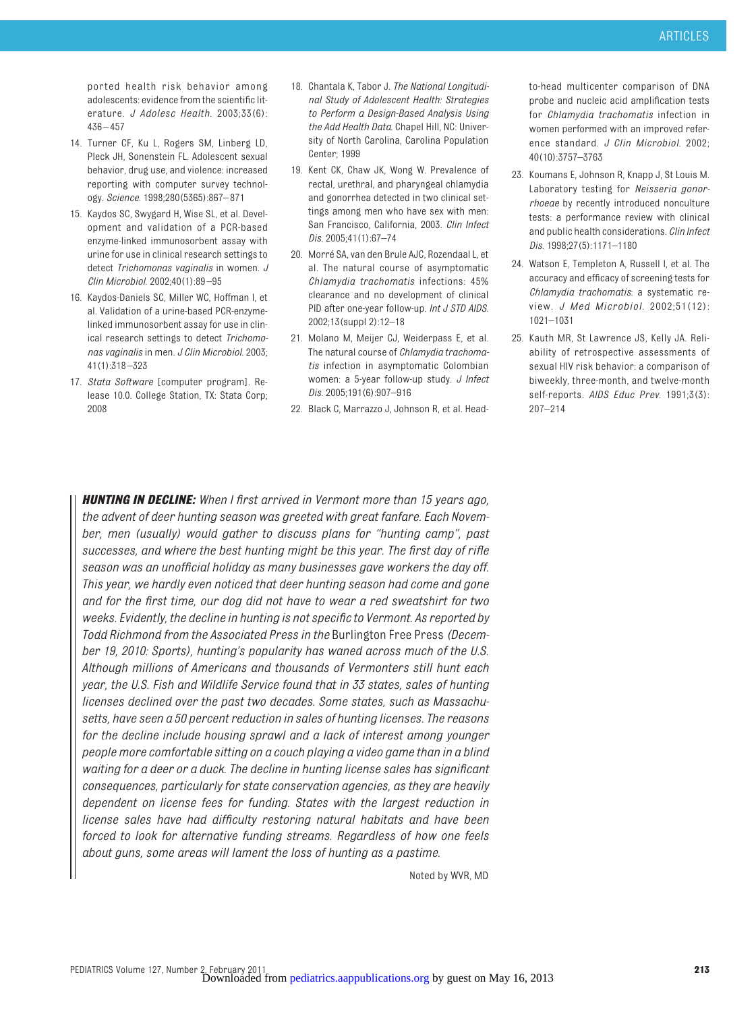<span id="page-6-0"></span>ported health risk behavior among adolescents: evidence from the scientific literature. *J Adolesc Health*. 2003;33(6):  $436 - 457$ 

- 14. Turner CF, Ku L, Rogers SM, Linberg LD, Pleck JH, Sonenstein FL. Adolescent sexual behavior, drug use, and violence: increased reporting with computer survey technology. *Science*. 1998;280(5365):867– 871
- 15. Kaydos SC, Swygard H, Wise SL, et al. Development and validation of a PCR-based enzyme-linked immunosorbent assay with urine for use in clinical research settings to detect *Trichomonas vaginalis* in women. *J Clin Microbiol*. 2002;40(1):89 –95
- 16. Kaydos-Daniels SC, Miller WC, Hoffman I, et al. Validation of a urine-based PCR-enzymelinked immunosorbent assay for use in clinical research settings to detect *Trichomonas vaginalis* in men. *J Clin Microbiol*. 2003; 41(1):318 –323
- 17. *Stata Software* [computer program]. Release 10.0. College Station, TX: Stata Corp; 2008
- 18. Chantala K, Tabor J. *The National Longitudinal Study of Adolescent Health: Strategies to Perform a Design-Based Analysis Using the Add Health Data*. Chapel Hill, NC: University of North Carolina, Carolina Population Center; 1999
- 19. Kent CK, Chaw JK, Wong W. Prevalence of rectal, urethral, and pharyngeal chlamydia and gonorrhea detected in two clinical settings among men who have sex with men: San Francisco, California, 2003. *Clin Infect Dis*. 2005;41(1):67–74
- 20. Morré SA, van den Brule AJC, Rozendaal L, et al. The natural course of asymptomatic *Chlamydia trachomatis* infections: 45% clearance and no development of clinical PID after one-year follow-up. *Int J STD AIDS*. 2002;13(suppl 2):12–18
- 21. Molano M, Meijer CJ, Weiderpass E, et al. The natural course of *Chlamydia trachomatis* infection in asymptomatic Colombian women: a 5-year follow-up study. *J Infect Dis*. 2005;191(6):907–916
- 22. Black C, Marrazzo J, Johnson R, et al. Head-

to-head multicenter comparison of DNA probe and nucleic acid amplification tests for *Chlamydia trachomatis* infection in women performed with an improved reference standard. *J Clin Microbiol*. 2002; 40(10):3757–3763

- 23. Koumans E, Johnson R, Knapp J, St Louis M. Laboratory testing for *Neisseria gonorrhoeae* by recently introduced nonculture tests: a performance review with clinical and public health considerations. *Clin Infect Dis*. 1998;27(5):1171–1180
- 24. Watson E, Templeton A, Russell I, et al. The accuracy and efficacy of screening tests for *Chlamydia trachomatis*: a systematic review. *J Med Microbiol*. 2002;51(12): 1021–1031
- 25. Kauth MR, St Lawrence JS, Kelly JA. Reliability of retrospective assessments of sexual HIV risk behavior: a comparison of biweekly, three-month, and twelve-month self-reports. *AIDS Educ Prev*. 1991;3(3): 207–214

*HUNTING IN DECLINE: When I first arrived in Vermont more than 15 years ago, the advent of deer hunting season was greeted with great fanfare. Each November, men (usually) would gather to discuss plans for "hunting camp", past successes, and where the best hunting might be this year. The first day of rifle season was an unofficial holiday as many businesses gave workers the day off. This year, we hardly even noticed that deer hunting season had come and gone and for the first time, our dog did not have to wear a red sweatshirt for two weeks. Evidently, the decline in hunting is not specific to Vermont. As reported by Todd Richmond from the Associated Press in the* Burlington Free Press *(December 19, 2010: Sports), hunting's popularity has waned across much of the U.S. Although millions of Americans and thousands of Vermonters still hunt each year, the U.S. Fish and Wildlife Service found that in 33 states, sales of hunting licenses declined over the past two decades. Some states, such as Massachusetts, have seen a 50 percent reduction in sales of hunting licenses. The reasons for the decline include housing sprawl and a lack of interest among younger people more comfortable sitting on a couch playing a video game than in a blind waiting for a deer or a duck. The decline in hunting license sales has significant consequences, particularly for state conservation agencies, as they are heavily dependent on license fees for funding. States with the largest reduction in license sales have had difficulty restoring natural habitats and have been forced to look for alternative funding streams. Regardless of how one feels about guns, some areas will lament the loss of hunting as a pastime.*

Noted by WVR, MD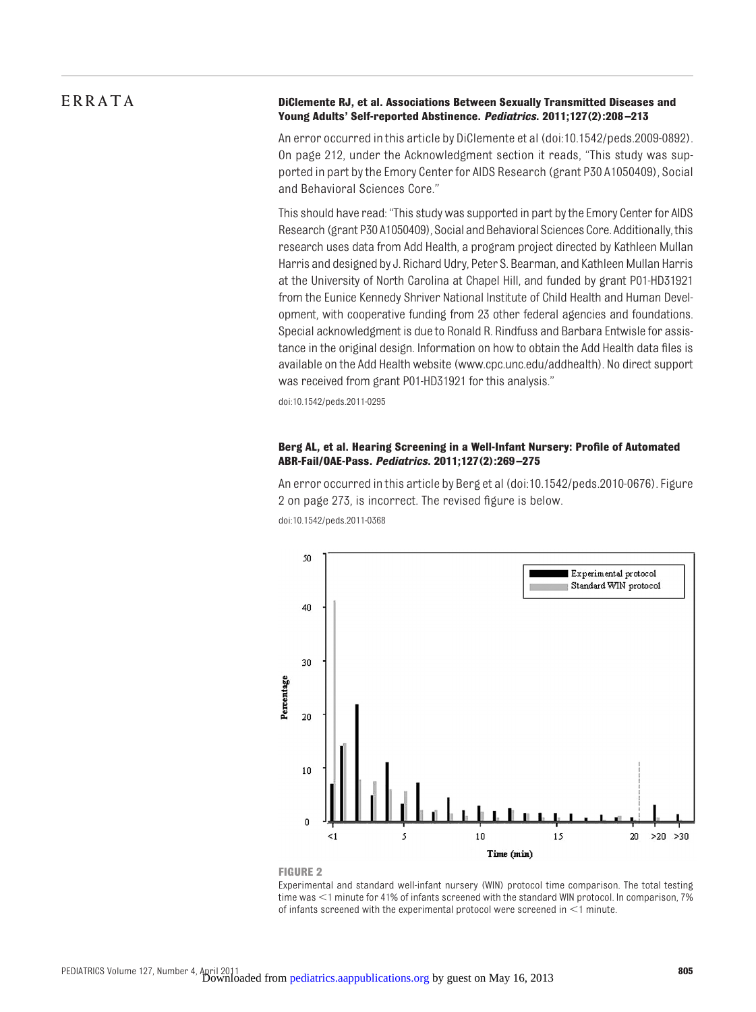# **ERRATA**

### **DiClemente RJ, et al. Associations Between Sexually Transmitted Diseases and Young Adults' Self-reported Abstinence.** *Pediatrics***. 2011;127(2):208 –213**

An error occurred in this article by DiClemente et al (doi:10.1542/peds.2009-0892). On page 212, under the Acknowledgment section it reads, "This study was supported in part by the Emory Center for AIDS Research (grant P30 A1050409), Social and Behavioral Sciences Core."

This should have read: "This study was supported in part bythe Emory Center for AIDS Research (grant P30 A1050409), Social and Behavioral Sciences Core. Additionally, this research uses data from Add Health, a program project directed by Kathleen Mullan Harris and designed by J. Richard Udry, Peter S. Bearman, and Kathleen Mullan Harris at the University of North Carolina at Chapel Hill, and funded by grant P01-HD31921 from the Eunice Kennedy Shriver National Institute of Child Health and Human Development, with cooperative funding from 23 other federal agencies and foundations. Special acknowledgment is due to Ronald R. Rindfuss and Barbara Entwisle for assistance in the original design. Information on how to obtain the Add Health data files is available on the Add Health website (www.cpc.unc.edu/addhealth). No direct support was received from grant P01-HD31921 for this analysis."

doi:10.1542/peds.2011-0295

## **Berg AL, et al. Hearing Screening in a Well-Infant Nursery: Profile of Automated ABR-Fail/OAE-Pass.** *Pediatrics***. 2011;127(2):269 –275**

An error occurred in this article by Berg et al (doi:10.1542/peds.2010-0676). [Figure](#page-7-0) [2](#page-7-0) on page 273, is incorrect. The revised figure is below. doi:10.1542/peds.2011-0368



#### <span id="page-7-0"></span>**FIGURE 2**

Experimental and standard well-infant nursery (WIN) protocol time comparison. The total testing time was <1 minute for 41% of infants screened with the standard WIN protocol. In comparison, 7% of infants screened with the experimental protocol were screened in  $\leq$ 1 minute.